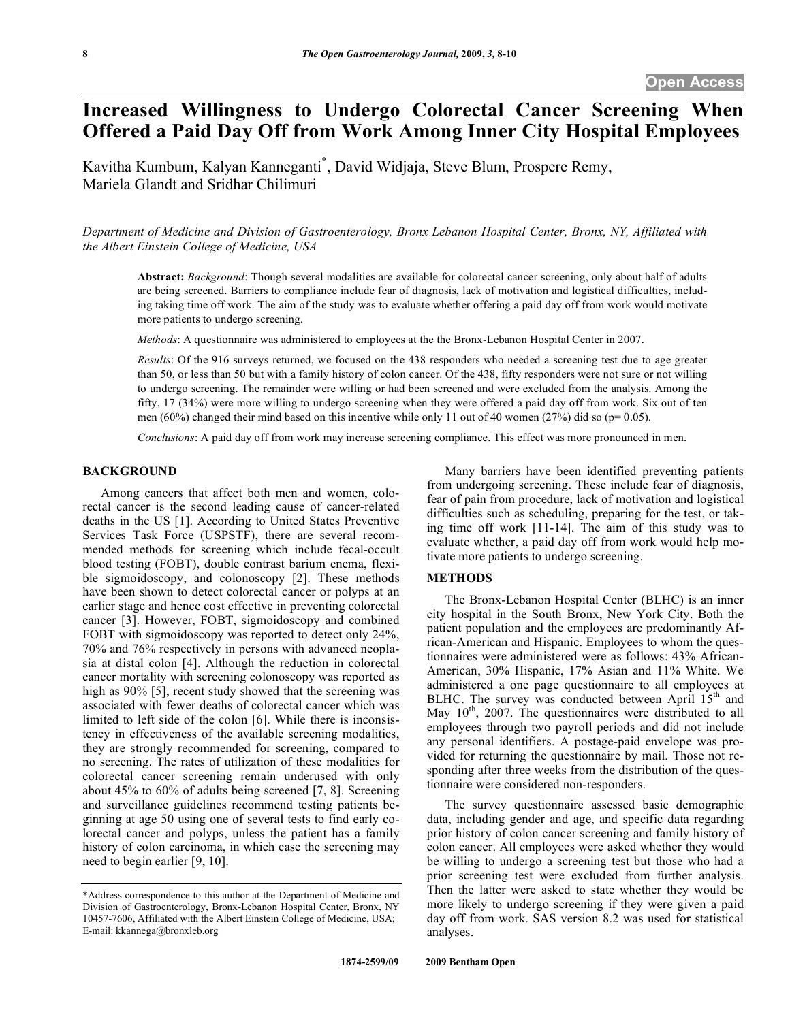# **Increased Willingness to Undergo Colorectal Cancer Screening When Offered a Paid Day Off from Work Among Inner City Hospital Employees**

Kavitha Kumbum, Kalyan Kanneganti\* , David Widjaja, Steve Blum, Prospere Remy, Mariela Glandt and Sridhar Chilimuri

*Department of Medicine and Division of Gastroenterology, Bronx Lebanon Hospital Center, Bronx, NY, Affiliated with the Albert Einstein College of Medicine, USA* 

**Abstract:** *Background*: Though several modalities are available for colorectal cancer screening, only about half of adults are being screened. Barriers to compliance include fear of diagnosis, lack of motivation and logistical difficulties, including taking time off work. The aim of the study was to evaluate whether offering a paid day off from work would motivate more patients to undergo screening.

*Methods*: A questionnaire was administered to employees at the the Bronx-Lebanon Hospital Center in 2007.

*Results*: Of the 916 surveys returned, we focused on the 438 responders who needed a screening test due to age greater than 50, or less than 50 but with a family history of colon cancer. Of the 438, fifty responders were not sure or not willing to undergo screening. The remainder were willing or had been screened and were excluded from the analysis. Among the fifty, 17 (34%) were more willing to undergo screening when they were offered a paid day off from work. Six out of ten men (60%) changed their mind based on this incentive while only 11 out of 40 women (27%) did so ( $p= 0.05$ ).

*Conclusions*: A paid day off from work may increase screening compliance. This effect was more pronounced in men.

# **BACKGROUND**

 Among cancers that affect both men and women, colorectal cancer is the second leading cause of cancer-related deaths in the US [1]. According to United States Preventive Services Task Force (USPSTF), there are several recommended methods for screening which include fecal-occult blood testing (FOBT), double contrast barium enema, flexible sigmoidoscopy, and colonoscopy [2]. These methods have been shown to detect colorectal cancer or polyps at an earlier stage and hence cost effective in preventing colorectal cancer [3]. However, FOBT, sigmoidoscopy and combined FOBT with sigmoidoscopy was reported to detect only 24%, 70% and 76% respectively in persons with advanced neoplasia at distal colon [4]. Although the reduction in colorectal cancer mortality with screening colonoscopy was reported as high as 90% [5], recent study showed that the screening was associated with fewer deaths of colorectal cancer which was limited to left side of the colon [6]. While there is inconsistency in effectiveness of the available screening modalities, they are strongly recommended for screening, compared to no screening. The rates of utilization of these modalities for colorectal cancer screening remain underused with only about 45% to 60% of adults being screened [7, 8]. Screening and surveillance guidelines recommend testing patients beginning at age 50 using one of several tests to find early colorectal cancer and polyps, unless the patient has a family history of colon carcinoma, in which case the screening may need to begin earlier [9, 10].

 Many barriers have been identified preventing patients from undergoing screening. These include fear of diagnosis, fear of pain from procedure, lack of motivation and logistical difficulties such as scheduling, preparing for the test, or taking time off work [11-14]. The aim of this study was to evaluate whether, a paid day off from work would help motivate more patients to undergo screening.

#### **METHODS**

 The Bronx-Lebanon Hospital Center (BLHC) is an inner city hospital in the South Bronx, New York City. Both the patient population and the employees are predominantly African-American and Hispanic. Employees to whom the questionnaires were administered were as follows: 43% African-American, 30% Hispanic, 17% Asian and 11% White. We administered a one page questionnaire to all employees at BLHC. The survey was conducted between April  $15<sup>th</sup>$  and May  $10<sup>th</sup>$ , 2007. The questionnaires were distributed to all employees through two payroll periods and did not include any personal identifiers. A postage-paid envelope was provided for returning the questionnaire by mail. Those not responding after three weeks from the distribution of the questionnaire were considered non-responders.

 The survey questionnaire assessed basic demographic data, including gender and age, and specific data regarding prior history of colon cancer screening and family history of colon cancer. All employees were asked whether they would be willing to undergo a screening test but those who had a prior screening test were excluded from further analysis. Then the latter were asked to state whether they would be more likely to undergo screening if they were given a paid day off from work. SAS version 8.2 was used for statistical analyses.

<sup>\*</sup>Address correspondence to this author at the Department of Medicine and Division of Gastroenterology, Bronx-Lebanon Hospital Center, Bronx, NY 10457-7606, Affiliated with the Albert Einstein College of Medicine, USA; E-mail: kkannega@bronxleb.org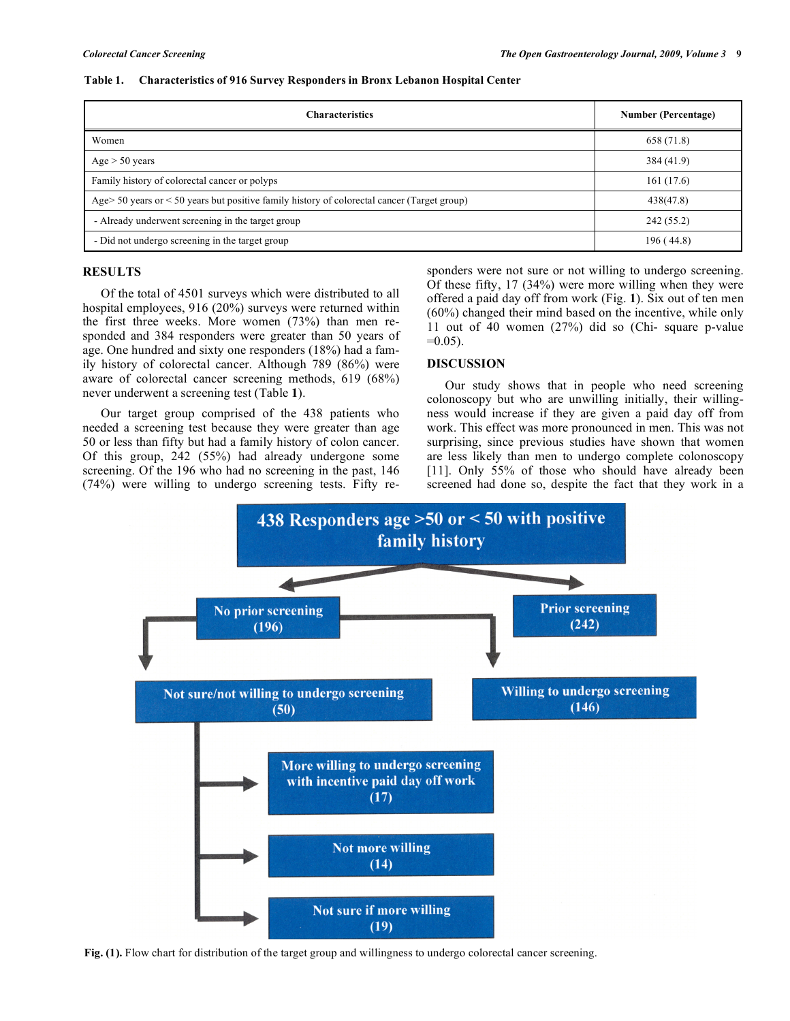|  |  | Table 1. Characteristics of 916 Survey Responders in Bronx Lebanon Hospital Center |
|--|--|------------------------------------------------------------------------------------|
|  |  |                                                                                    |

| <b>Characteristics</b>                                                                        | <b>Number (Percentage)</b> |
|-----------------------------------------------------------------------------------------------|----------------------------|
| Women                                                                                         | 658 (71.8)                 |
| $Age > 50 \text{ years}$                                                                      | 384 (41.9)                 |
| Family history of colorectal cancer or polyps                                                 | 161(17.6)                  |
| Age> 50 years or $<$ 50 years but positive family history of colorectal cancer (Target group) | 438(47.8)                  |
| - Already underwent screening in the target group                                             | 242 (55.2)                 |
| - Did not undergo screening in the target group                                               | 196(44.8)                  |

#### **RESULTS**

 Of the total of 4501 surveys which were distributed to all hospital employees, 916 (20%) surveys were returned within the first three weeks. More women (73%) than men responded and 384 responders were greater than 50 years of age. One hundred and sixty one responders (18%) had a family history of colorectal cancer. Although 789 (86%) were aware of colorectal cancer screening methods, 619 (68%) never underwent a screening test (Table **1**).

 Our target group comprised of the 438 patients who needed a screening test because they were greater than age 50 or less than fifty but had a family history of colon cancer. Of this group, 242 (55%) had already undergone some screening. Of the 196 who had no screening in the past, 146 (74%) were willing to undergo screening tests. Fifty responders were not sure or not willing to undergo screening. Of these fifty, 17 (34%) were more willing when they were offered a paid day off from work (Fig. **1**). Six out of ten men (60%) changed their mind based on the incentive, while only 11 out of 40 women (27%) did so (Chi- square p-value  $=0.05$ ).

## **DISCUSSION**

 Our study shows that in people who need screening colonoscopy but who are unwilling initially, their willingness would increase if they are given a paid day off from work. This effect was more pronounced in men. This was not surprising, since previous studies have shown that women are less likely than men to undergo complete colonoscopy [11]. Only 55% of those who should have already been screened had done so, despite the fact that they work in a



**Fig. (1).** Flow chart for distribution of the target group and willingness to undergo colorectal cancer screening.